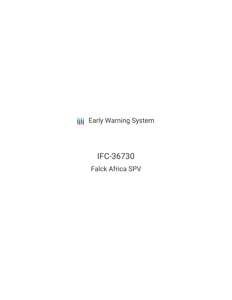**III** Early Warning System

IFC-36730 Falck Africa SPV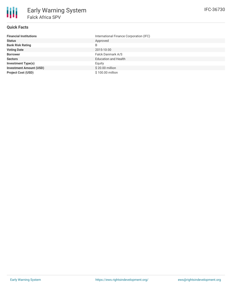

# **Quick Facts**

| <b>Financial Institutions</b>  | International Finance Corporation (IFC) |
|--------------------------------|-----------------------------------------|
| <b>Status</b>                  | Approved                                |
| <b>Bank Risk Rating</b>        | B                                       |
| <b>Voting Date</b>             | 2015-10-30                              |
| <b>Borrower</b>                | Falck Danmark A/S                       |
| <b>Sectors</b>                 | <b>Education and Health</b>             |
| <b>Investment Type(s)</b>      | Equity                                  |
| <b>Investment Amount (USD)</b> | \$20.00 million                         |
| <b>Project Cost (USD)</b>      | \$100.00 million                        |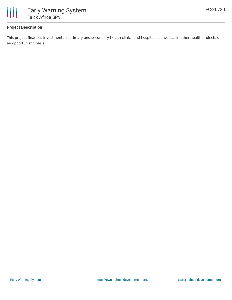

## **Project Description**

This project finances investments in primary and secondary health clinics and hospitals, as well as in other health projects on an opportunistic basis.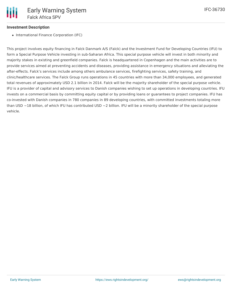### **Investment Description**

• International Finance Corporation (IFC)

This project involves equity financing in Falck Danmark A/S (Falck) and the Investment Fund for Developing Countries (IFU) to form a Special Purpose Vehicle investing in sub-Saharan Africa. This special purpose vehicle will invest in both minority and majority stakes in existing and greenfield companies. Falck is headquartered in Copenhagen and the main activities are to provide services aimed at preventing accidents and diseases, providing assistance in emergency situations and alleviating the after-effects. Falck's services include among others ambulance services, firefighting services, safety training, and clinic/healthcare services. The Falck Group runs operations in 45 countries with more than 34,000 employees, and generated total revenues of approximately USD 2.1 billion in 2014. Falck will be the majority shareholder of the special purpose vehicle. IFU is a provider of capital and advisory services to Danish companies wishing to set up operations in developing countries. IFU invests on a commercial basis by committing equity capital or by providing loans or guarantees to project companies. IFU has co-invested with Danish companies in 780 companies in 89 developing countries, with committed investments totaling more than USD  $\sim$ 18 billion, of which IFU has contributed USD  $\sim$ 2 billion. IFU will be a minority shareholder of the special purpose vehicle.